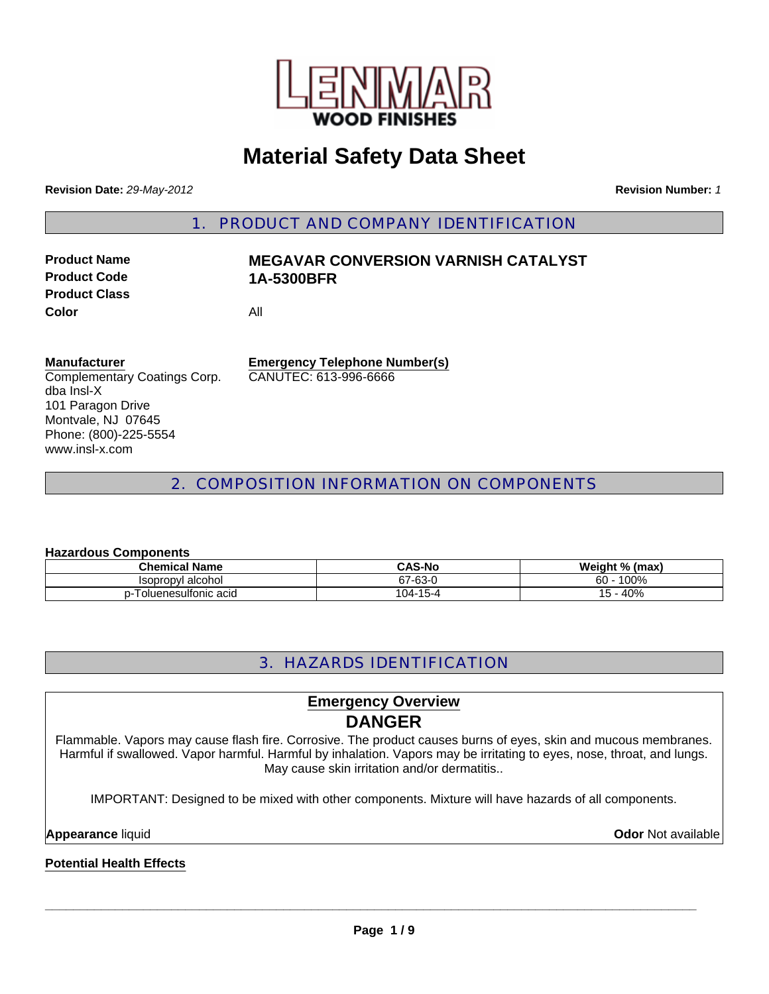

# **Material Safety Data Sheet**

**Revision Date:** *29-May-2012* **Revision Number:** *1*

1. PRODUCT AND COMPANY IDENTIFICATION

**Product Class Color** All

### **Product Name MEGAVAR CONVERSION VARNISH CATALYST Product Code 1A-5300BFR**

### **Manufacturer**

Complementary Coatings Corp. dba Insl-X 101 Paragon Drive Montvale, NJ 07645 Phone: (800)-225-5554 www.insl-x.com

**Emergency Telephone Number(s)** CANUTEC: 613-996-6666

### 2. COMPOSITION INFORMATION ON COMPONENTS

### **Hazardous Components**

| <b>Chemical Name</b>                    | <b>CAS-No</b>      | Weight % (max) |  |  |  |
|-----------------------------------------|--------------------|----------------|--|--|--|
| Isopropyl alcohol                       | 67-63-0<br>07      | 100%<br>60     |  |  |  |
| <sup>-</sup> oluenesulfonic acid<br>- ۱ | $-15-4$<br>$104 -$ | 40%<br>15 -    |  |  |  |

### 3. HAZARDS IDENTIFICATION

### **Emergency Overview DANGER**

Flammable. Vapors may cause flash fire. Corrosive. The product causes burns of eyes, skin and mucous membranes. Harmful if swallowed. Vapor harmful. Harmful by inhalation. Vapors may be irritating to eyes, nose, throat, and lungs. May cause skin irritation and/or dermatitis..

IMPORTANT: Designed to be mixed with other components. Mixture will have hazards of all components.

**Appearance** liquid **Odor** Not available

### **Potential Health Effects**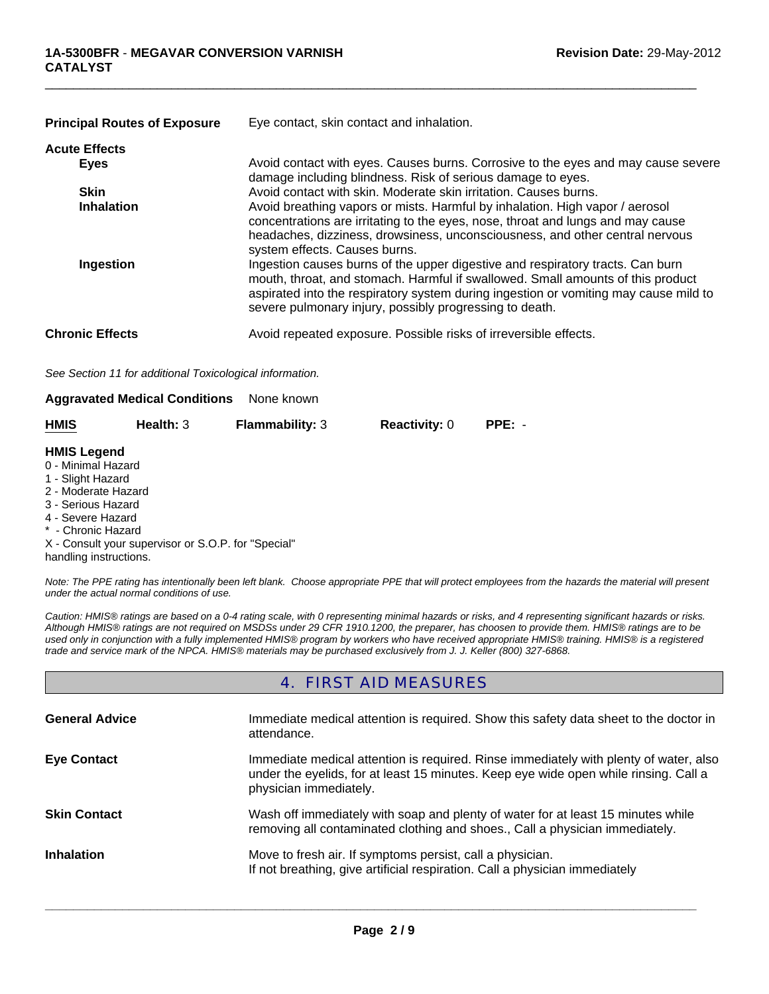| <b>Principal Routes of Exposure</b> | Eye contact, skin contact and inhalation.                                                                                                                                                                                                                                                                            |  |  |
|-------------------------------------|----------------------------------------------------------------------------------------------------------------------------------------------------------------------------------------------------------------------------------------------------------------------------------------------------------------------|--|--|
| <b>Acute Effects</b>                |                                                                                                                                                                                                                                                                                                                      |  |  |
| <b>Eyes</b>                         | Avoid contact with eyes. Causes burns. Corrosive to the eyes and may cause severe<br>damage including blindness. Risk of serious damage to eyes.                                                                                                                                                                     |  |  |
| <b>Skin</b>                         | Avoid contact with skin. Moderate skin irritation. Causes burns.                                                                                                                                                                                                                                                     |  |  |
| <b>Inhalation</b>                   | Avoid breathing vapors or mists. Harmful by inhalation. High vapor / aerosol<br>concentrations are irritating to the eyes, nose, throat and lungs and may cause<br>headaches, dizziness, drowsiness, unconsciousness, and other central nervous<br>system effects. Causes burns.                                     |  |  |
| Ingestion                           | Ingestion causes burns of the upper digestive and respiratory tracts. Can burn<br>mouth, throat, and stomach. Harmful if swallowed. Small amounts of this product<br>aspirated into the respiratory system during ingestion or vomiting may cause mild to<br>severe pulmonary injury, possibly progressing to death. |  |  |
| <b>Chronic Effects</b>              | Avoid repeated exposure. Possible risks of irreversible effects.                                                                                                                                                                                                                                                     |  |  |

 $\Box$ 

*See Section 11 for additional Toxicological information.*

| <b>Aggravated Medical Conditions</b> |  | None known |
|--------------------------------------|--|------------|
|--------------------------------------|--|------------|

| <b>HMIS</b>                                         | Health: 3 | <b>Flammability: 3</b> | <b>Reactivity: 0</b> | $PPE: -$ |
|-----------------------------------------------------|-----------|------------------------|----------------------|----------|
| <b>HMIS Legend</b>                                  |           |                        |                      |          |
| 0 - Minimal Hazard                                  |           |                        |                      |          |
| 1 - Slight Hazard                                   |           |                        |                      |          |
| 2 - Moderate Hazard                                 |           |                        |                      |          |
| 3 - Serious Hazard                                  |           |                        |                      |          |
| 4 - Severe Hazard                                   |           |                        |                      |          |
| * - Chronic Hazard                                  |           |                        |                      |          |
| X - Consult your supervisor or S.O.P. for "Special" |           |                        |                      |          |
| handling instructions.                              |           |                        |                      |          |

*Note: The PPE rating has intentionally been left blank. Choose appropriate PPE that will protect employees from the hazards the material will present under the actual normal conditions of use.*

*Caution: HMIS® ratings are based on a 0-4 rating scale, with 0 representing minimal hazards or risks, and 4 representing significant hazards or risks. Although HMIS® ratings are not required on MSDSs under 29 CFR 1910.1200, the preparer, has choosen to provide them. HMIS® ratings are to be used only in conjunction with a fully implemented HMIS® program by workers who have received appropriate HMIS® training. HMIS® is a registered trade and service mark of the NPCA. HMIS® materials may be purchased exclusively from J. J. Keller (800) 327-6868.*

### 4. FIRST AID MEASURES

| <b>General Advice</b> | Immediate medical attention is required. Show this safety data sheet to the doctor in<br>attendance.                                                                                                    |
|-----------------------|---------------------------------------------------------------------------------------------------------------------------------------------------------------------------------------------------------|
| <b>Eve Contact</b>    | Immediate medical attention is required. Rinse immediately with plenty of water, also<br>under the eyelids, for at least 15 minutes. Keep eye wide open while rinsing. Call a<br>physician immediately. |
| <b>Skin Contact</b>   | Wash off immediately with soap and plenty of water for at least 15 minutes while<br>removing all contaminated clothing and shoes., Call a physician immediately.                                        |
| <b>Inhalation</b>     | Move to fresh air. If symptoms persist, call a physician.<br>If not breathing, give artificial respiration. Call a physician immediately                                                                |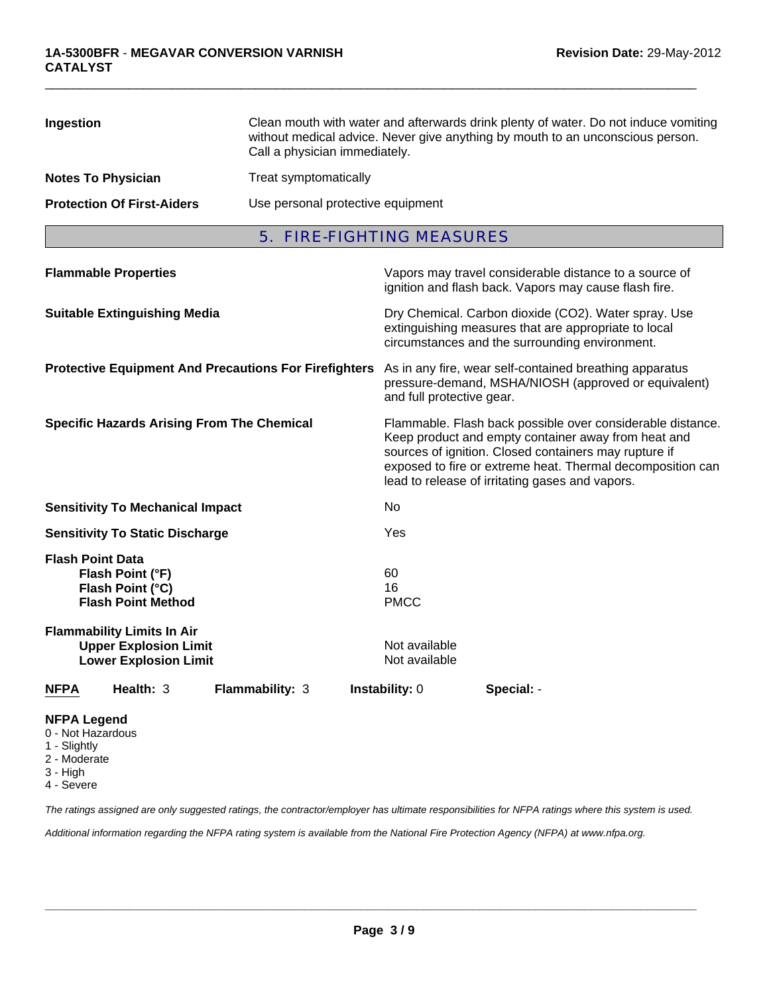| Ingestion                         | Clean mouth with water and afterwards drink plenty of water. Do not induce vomiting<br>without medical advice. Never give anything by mouth to an unconscious person.<br>Call a physician immediately. |
|-----------------------------------|--------------------------------------------------------------------------------------------------------------------------------------------------------------------------------------------------------|
| <b>Notes To Physician</b>         | Treat symptomatically                                                                                                                                                                                  |
| <b>Protection Of First-Aiders</b> | Use personal protective equipment                                                                                                                                                                      |

 $\Box$ 

5. FIRE-FIGHTING MEASURES

| <b>Flammable Properties</b>                                                                                                                                       |                 |                                          | Vapors may travel considerable distance to a source of<br>ignition and flash back. Vapors may cause flash fire.                                                                                                                                                                             |
|-------------------------------------------------------------------------------------------------------------------------------------------------------------------|-----------------|------------------------------------------|---------------------------------------------------------------------------------------------------------------------------------------------------------------------------------------------------------------------------------------------------------------------------------------------|
| <b>Suitable Extinguishing Media</b>                                                                                                                               |                 |                                          | Dry Chemical. Carbon dioxide (CO2). Water spray. Use<br>extinguishing measures that are appropriate to local<br>circumstances and the surrounding environment.                                                                                                                              |
| <b>Protective Equipment And Precautions For Firefighters</b>                                                                                                      |                 | and full protective gear.                | As in any fire, wear self-contained breathing apparatus<br>pressure-demand, MSHA/NIOSH (approved or equivalent)                                                                                                                                                                             |
| <b>Specific Hazards Arising From The Chemical</b>                                                                                                                 |                 |                                          | Flammable. Flash back possible over considerable distance.<br>Keep product and empty container away from heat and<br>sources of ignition. Closed containers may rupture if<br>exposed to fire or extreme heat. Thermal decomposition can<br>lead to release of irritating gases and vapors. |
| <b>Sensitivity To Mechanical Impact</b>                                                                                                                           |                 | No                                       |                                                                                                                                                                                                                                                                                             |
| <b>Sensitivity To Static Discharge</b>                                                                                                                            |                 | Yes                                      |                                                                                                                                                                                                                                                                                             |
| <b>Flash Point Data</b><br>Flash Point (°F)<br>Flash Point (°C)<br><b>Flash Point Method</b><br><b>Flammability Limits In Air</b><br><b>Upper Explosion Limit</b> |                 | 60<br>16<br><b>PMCC</b><br>Not available |                                                                                                                                                                                                                                                                                             |
| <b>Lower Explosion Limit</b>                                                                                                                                      |                 | Not available                            |                                                                                                                                                                                                                                                                                             |
| Health: 3<br><b>NFPA</b>                                                                                                                                          | Flammability: 3 | <b>Instability: 0</b>                    | Special: -                                                                                                                                                                                                                                                                                  |

### **NFPA Legend**

- 0 Not Hazardous
- 1 Slightly
- 2 Moderate
- 3 High
- 4 Severe

*The ratings assigned are only suggested ratings, the contractor/employer has ultimate responsibilities for NFPA ratings where this system is used.*

*Additional information regarding the NFPA rating system is available from the National Fire Protection Agency (NFPA) at www.nfpa.org.*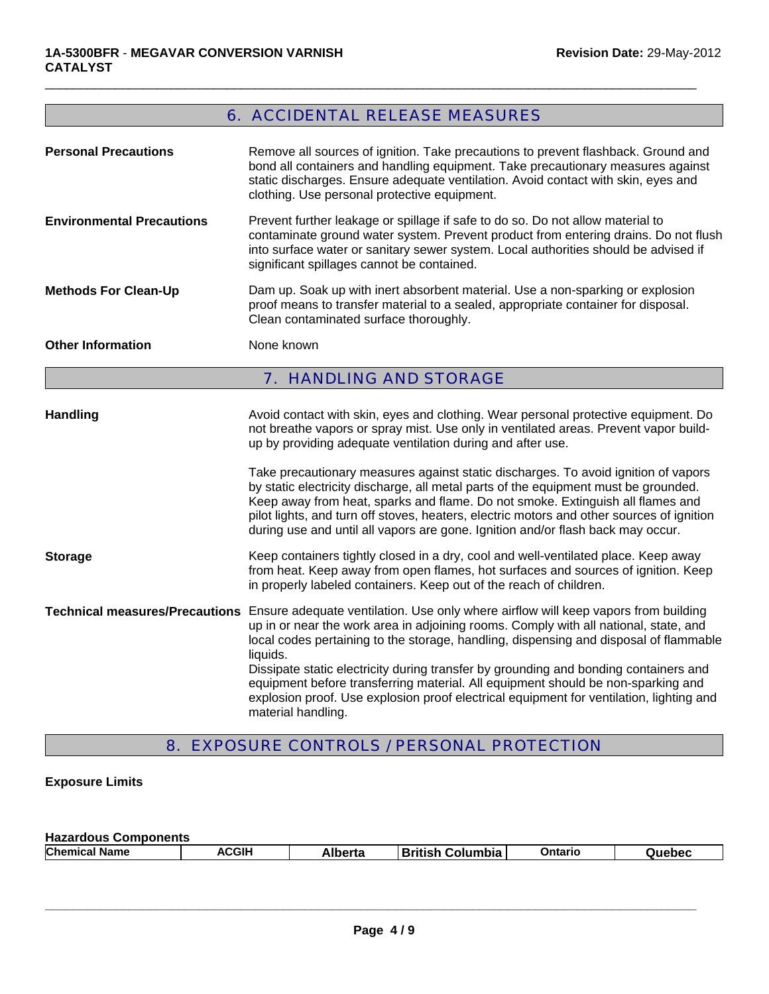# 6. ACCIDENTAL RELEASE MEASURES

 $\Box$ 

| <b>Personal Precautions</b>      | Remove all sources of ignition. Take precautions to prevent flashback. Ground and<br>bond all containers and handling equipment. Take precautionary measures against<br>static discharges. Ensure adequate ventilation. Avoid contact with skin, eyes and<br>clothing. Use personal protective equipment.                                                                                                                                   |  |  |
|----------------------------------|---------------------------------------------------------------------------------------------------------------------------------------------------------------------------------------------------------------------------------------------------------------------------------------------------------------------------------------------------------------------------------------------------------------------------------------------|--|--|
| <b>Environmental Precautions</b> | Prevent further leakage or spillage if safe to do so. Do not allow material to<br>contaminate ground water system. Prevent product from entering drains. Do not flush<br>into surface water or sanitary sewer system. Local authorities should be advised if<br>significant spillages cannot be contained.                                                                                                                                  |  |  |
| <b>Methods For Clean-Up</b>      | Dam up. Soak up with inert absorbent material. Use a non-sparking or explosion<br>proof means to transfer material to a sealed, appropriate container for disposal.<br>Clean contaminated surface thoroughly.                                                                                                                                                                                                                               |  |  |
| <b>Other Information</b>         | None known                                                                                                                                                                                                                                                                                                                                                                                                                                  |  |  |
|                                  | 7. HANDLING AND STORAGE                                                                                                                                                                                                                                                                                                                                                                                                                     |  |  |
| <b>Handling</b>                  | Avoid contact with skin, eyes and clothing. Wear personal protective equipment. Do<br>not breathe vapors or spray mist. Use only in ventilated areas. Prevent vapor build-<br>up by providing adequate ventilation during and after use.                                                                                                                                                                                                    |  |  |
|                                  | Take precautionary measures against static discharges. To avoid ignition of vapors<br>by static electricity discharge, all metal parts of the equipment must be grounded.<br>Keep away from heat, sparks and flame. Do not smoke. Extinguish all flames and<br>pilot lights, and turn off stoves, heaters, electric motors and other sources of ignition<br>during use and until all vapors are gone. Ignition and/or flash back may occur. |  |  |
| <b>Storage</b>                   | Keep containers tightly closed in a dry, cool and well-ventilated place. Keep away<br>from heat. Keep away from open flames, hot surfaces and sources of ignition. Keep<br>in properly labeled containers. Keep out of the reach of children.                                                                                                                                                                                               |  |  |
|                                  | Technical measures/Precautions Ensure adequate ventilation. Use only where airflow will keep vapors from building<br>up in or near the work area in adjoining rooms. Comply with all national, state, and<br>local codes pertaining to the storage, handling, dispensing and disposal of flammable<br>liquids.                                                                                                                              |  |  |
|                                  | Dissipate static electricity during transfer by grounding and bonding containers and<br>equipment before transferring material. All equipment should be non-sparking and<br>explosion proof. Use explosion proof electrical equipment for ventilation, lighting and<br>material handling.                                                                                                                                                   |  |  |

# 8. EXPOSURE CONTROLS / PERSONAL PROTECTION

### **Exposure Limits**

| <b>Hazardous Components</b> |              |         |                     |         |        |
|-----------------------------|--------------|---------|---------------------|---------|--------|
| <b>Chemical Name</b>        | <b>ACGIH</b> | Alberta | ∣British Columbia I | Ontaric | Quebec |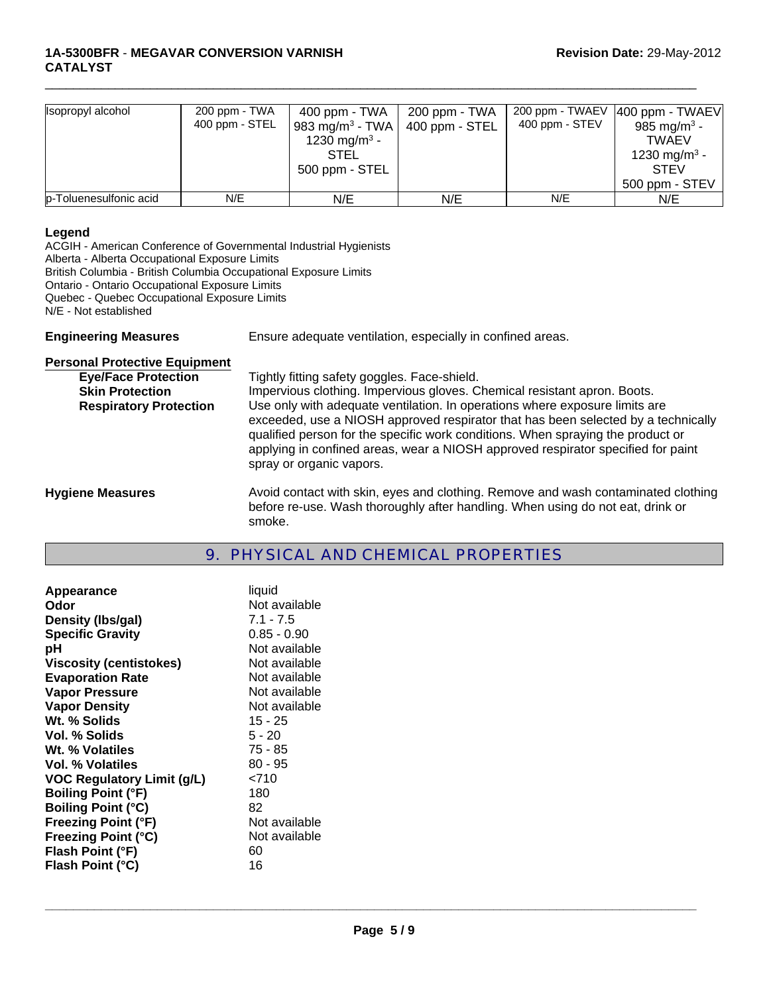| Isopropyl alcohol      | 200 ppm - TWA<br>400 ppm - STEL | 400 ppm - TWA<br>983 mg/m <sup>3</sup> - TWA<br>1230 mg/m <sup>3</sup> -<br><b>STEL</b><br>500 ppm - STEL | 200 ppm - TWA<br>400 ppm - STEL | 200 ppm - TWAEV<br>400 ppm - STEV | $ 400$ ppm - TWAEV<br>985 mg/m <sup>3</sup> -<br><b>TWAEV</b><br>1230 mg/m <sup>3</sup> -<br><b>STEV</b><br>500 ppm - STEV |
|------------------------|---------------------------------|-----------------------------------------------------------------------------------------------------------|---------------------------------|-----------------------------------|----------------------------------------------------------------------------------------------------------------------------|
| p-Toluenesulfonic acid | N/E                             | N/E                                                                                                       | N/E                             | N/E                               | N/E                                                                                                                        |

 $\Box$ 

#### **Legend**

ACGIH - American Conference of Governmental Industrial Hygienists Alberta - Alberta Occupational Exposure Limits British Columbia - British Columbia Occupational Exposure Limits Ontario - Ontario Occupational Exposure Limits Quebec - Quebec Occupational Exposure Limits N/E - Not established

**Engineering Measures** Ensure adequate ventilation, especially in confined areas.

| <b>Personal Protective Equipment</b> |                                                                                                                                                                                                                                                                                                                                                                     |
|--------------------------------------|---------------------------------------------------------------------------------------------------------------------------------------------------------------------------------------------------------------------------------------------------------------------------------------------------------------------------------------------------------------------|
| <b>Eye/Face Protection</b>           | Tightly fitting safety goggles. Face-shield.                                                                                                                                                                                                                                                                                                                        |
| <b>Skin Protection</b>               | Impervious clothing. Impervious gloves. Chemical resistant apron. Boots.                                                                                                                                                                                                                                                                                            |
| <b>Respiratory Protection</b>        | Use only with adequate ventilation. In operations where exposure limits are<br>exceeded, use a NIOSH approved respirator that has been selected by a technically<br>qualified person for the specific work conditions. When spraying the product or<br>applying in confined areas, wear a NIOSH approved respirator specified for paint<br>spray or organic vapors. |
| <b>Hygiene Measures</b>              | Avoid contact with skin, eyes and clothing. Remove and wash contaminated clothing                                                                                                                                                                                                                                                                                   |

before re-use. Wash thoroughly after handling. When using do not eat, drink or smoke.

### 9. PHYSICAL AND CHEMICAL PROPERTIES

| <b>Appearance</b>              | liquid        |
|--------------------------------|---------------|
| Odor                           | Not available |
| Density (Ibs/gal)              | $7.1 - 7.5$   |
| <b>Specific Gravity</b>        | $0.85 - 0.90$ |
| рH                             | Not available |
| <b>Viscosity (centistokes)</b> | Not available |
| <b>Evaporation Rate</b>        | Not available |
| <b>Vapor Pressure</b>          | Not available |
| <b>Vapor Density</b>           | Not available |
| Wt. % Solids                   | $15 - 25$     |
| Vol. % Solids                  | $5 - 20$      |
| Wt. % Volatiles                | 75 - 85       |
| Vol. % Volatiles               | 80 - 95       |
| VOC Regulatory Limit (g/L)     | 2710          |
| <b>Boiling Point (°F)</b>      | 180           |
| <b>Boiling Point (°C)</b>      | 82            |
| <b>Freezing Point (°F)</b>     | Not available |
| <b>Freezing Point (°C)</b>     | Not available |
| Flash Point (°F)               | 60            |
| Flash Point (°C)               | 16            |
|                                |               |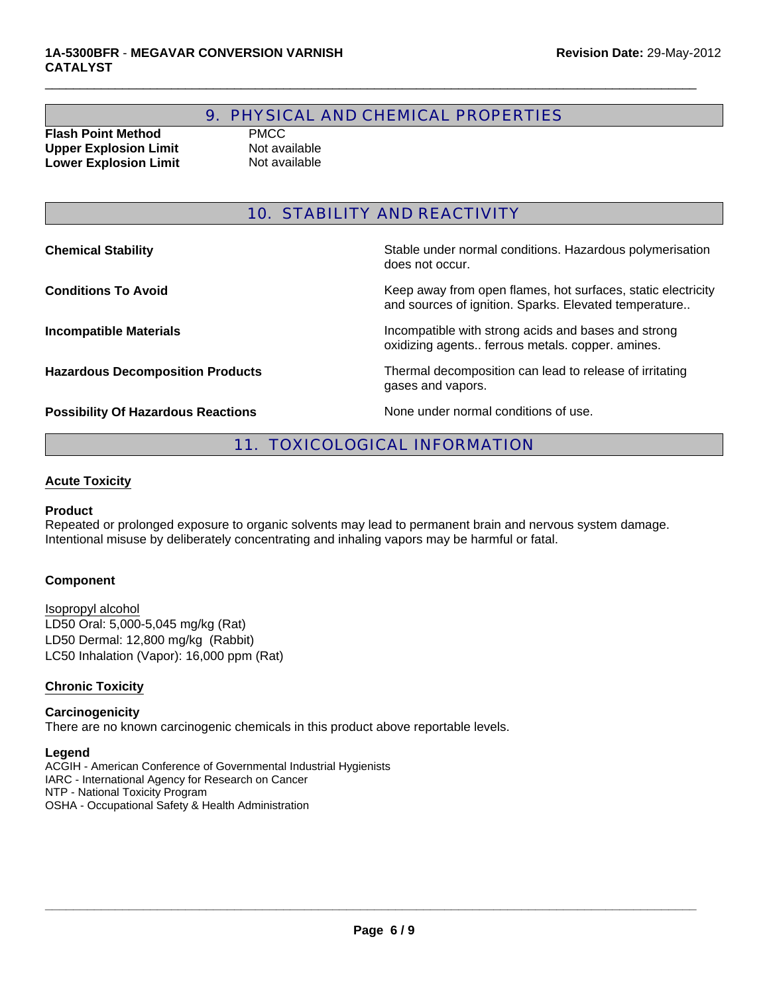### 9. PHYSICAL AND CHEMICAL PROPERTIES

 $\Box$ 

**Flash Point Method** PMCC **Upper Explosion Limit** Not available **Lower Explosion Limit** Not available

### 10. STABILITY AND REACTIVITY

**Chemical Stability Stability** Stable under normal conditions. Hazardous polymerisation does not occur.

**Conditions To Avoid Conditions To Avoid** Keep away from open flames, hot surfaces, static electricity and sources of ignition. Sparks. Elevated temperature..

**Incompatible Materials Incompatible with strong acids and bases and strong** oxidizing agents.. ferrous metals. copper. amines.

**Hazardous Decomposition Products** Thermal decomposition can lead to release of irritating gases and vapors.

**Possibility Of Hazardous Reactions** None under normal conditions of use.

### 11. TOXICOLOGICAL INFORMATION

#### **Acute Toxicity**

#### **Product**

Repeated or prolonged exposure to organic solvents may lead to permanent brain and nervous system damage. Intentional misuse by deliberately concentrating and inhaling vapors may be harmful or fatal.

#### **Component**

LD50 Oral: 5,000-5,045 mg/kg (Rat) LD50 Dermal: 12,800 mg/kg (Rabbit) Isopropyl alcohol LC50 Inhalation (Vapor): 16,000 ppm (Rat)

#### **Chronic Toxicity**

### **Carcinogenicity**

There are no known carcinogenic chemicals in this product above reportable levels.

#### **Legend**

ACGIH - American Conference of Governmental Industrial Hygienists IARC - International Agency for Research on Cancer NTP - National Toxicity Program OSHA - Occupational Safety & Health Administration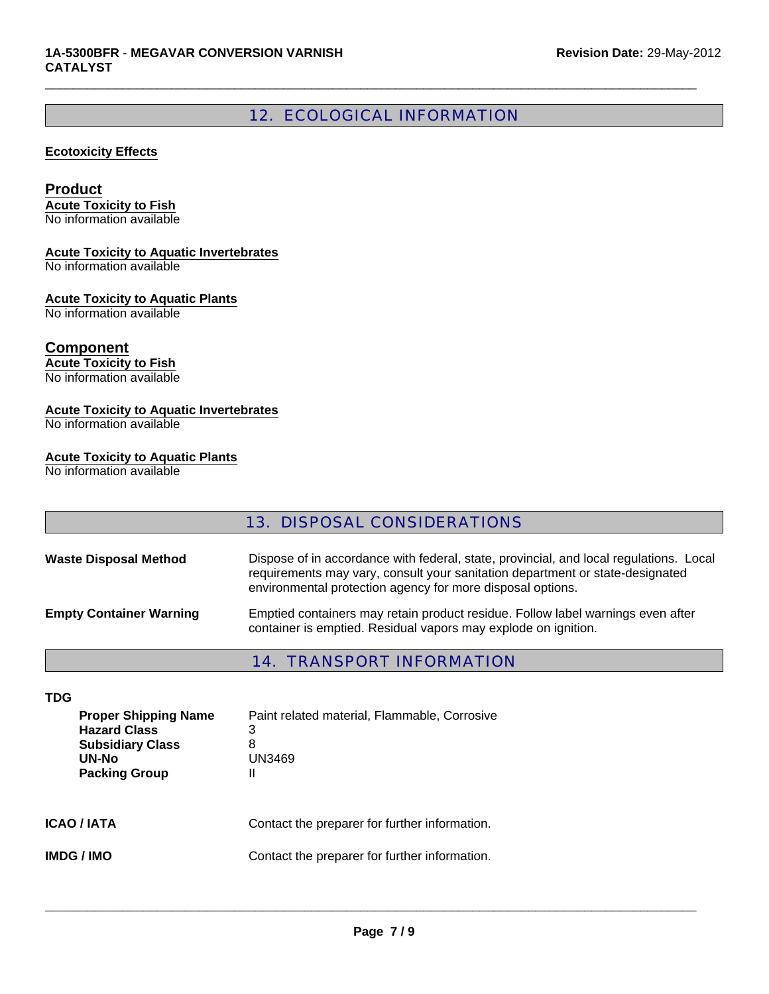## 12. ECOLOGICAL INFORMATION

 $\Box$ 

#### **Ecotoxicity Effects**

#### **Product**

**Acute Toxicity to Fish** No information available

#### **Acute Toxicity to Aquatic Invertebrates**

No information available

#### **Acute Toxicity to Aquatic Plants**

No information available

### **Component**

**Acute Toxicity to Fish** No information available

# **Acute Toxicity to Aquatic Invertebrates**

No information available

### **Acute Toxicity to Aquatic Plants**

No information available

### 13. DISPOSAL CONSIDERATIONS

| <b>Waste Disposal Method</b>   | Dispose of in accordance with federal, state, provincial, and local regulations. Local<br>requirements may vary, consult your sanitation department or state-designated<br>environmental protection agency for more disposal options. |
|--------------------------------|---------------------------------------------------------------------------------------------------------------------------------------------------------------------------------------------------------------------------------------|
| <b>Empty Container Warning</b> | Emptied containers may retain product residue. Follow label warnings even after<br>container is emptied. Residual vapors may explode on ignition.                                                                                     |

### 14. TRANSPORT INFORMATION

| <b>TDG</b>                                                                                                     |                                                                       |
|----------------------------------------------------------------------------------------------------------------|-----------------------------------------------------------------------|
| <b>Proper Shipping Name</b><br><b>Hazard Class</b><br><b>Subsidiary Class</b><br>UN-No<br><b>Packing Group</b> | Paint related material, Flammable, Corrosive<br>3<br>8<br>UN3469<br>Ш |
| <b>ICAO / IATA</b>                                                                                             | Contact the preparer for further information.                         |
| <b>IMDG / IMO</b>                                                                                              | Contact the preparer for further information.                         |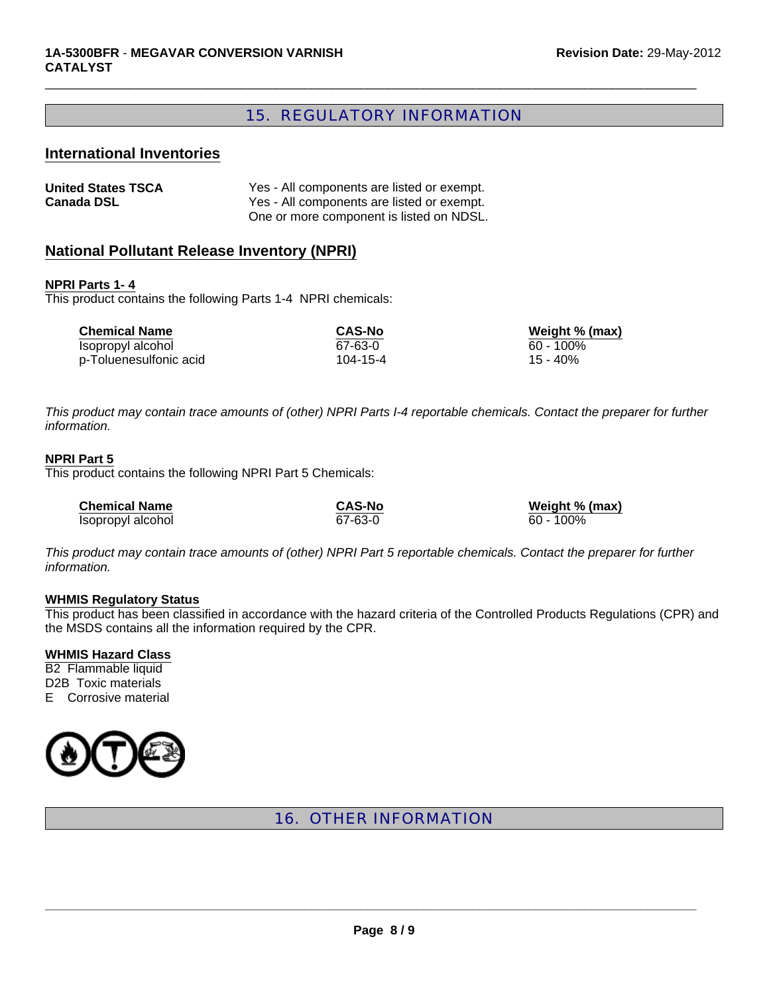### 15. REGULATORY INFORMATION

 $\Box$ 

#### **International Inventories**

| <b>United States TSCA</b> | Yes - All components are listed or exempt. |
|---------------------------|--------------------------------------------|
| <b>Canada DSL</b>         | Yes - All components are listed or exempt. |
|                           | One or more component is listed on NDSL.   |

### **National Pollutant Release Inventory (NPRI)**

#### **NPRI Parts 1- 4**

This product contains the following Parts 1-4 NPRI chemicals:

| <b>Chemical Name</b>   | <b>CAS-No</b> | Weight % (max) |
|------------------------|---------------|----------------|
| Isopropyl alcohol      | 67-63-0       | 60 - 100%      |
| p-Toluenesulfonic acid | 104-15-4      | 15 - 40%       |

*This product may contain trace amounts of (other) NPRI Parts I-4 reportable chemicals. Contact the preparer for further information.*

#### **NPRI Part 5**

This product contains the following NPRI Part 5 Chemicals:

| <b>Chemical Name</b> | <b>CAS-No</b> | Weight % (max) |
|----------------------|---------------|----------------|
| Isopropyl alcohol    | 67-63-0       | 60 - 100%      |

*This product may contain trace amounts of (other) NPRI Part 5 reportable chemicals. Contact the preparer for further information.*

#### **WHMIS Regulatory Status**

This product has been classified in accordance with the hazard criteria of the Controlled Products Regulations (CPR) and the MSDS contains all the information required by the CPR.

**WHMIS Hazard Class**

B2 Flammable liquid D2B Toxic materials E Corrosive material



16. OTHER INFORMATION